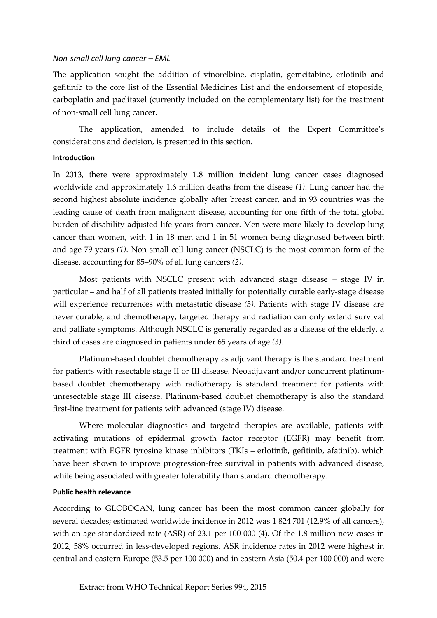## *Non-small cell lung cancer – EML*

The application sought the addition of vinorelbine, cisplatin, gemcitabine, erlotinib and gefitinib to the core list of the Essential Medicines List and the endorsement of etoposide, carboplatin and paclitaxel (currently included on the complementary list) for the treatment of non-small cell lung cancer.

The application, amended to include details of the Expert Committee's considerations and decision, is presented in this section.

## **Introduction**

In 2013, there were approximately 1.8 million incident lung cancer cases diagnosed worldwide and approximately 1.6 million deaths from the disease *(1)*. Lung cancer had the second highest absolute incidence globally after breast cancer, and in 93 countries was the leading cause of death from malignant disease, accounting for one fifth of the total global burden of disability-adjusted life years from cancer. Men were more likely to develop lung cancer than women, with 1 in 18 men and 1 in 51 women being diagnosed between birth and age 79 years *(1)*. Non-small cell lung cancer (NSCLC) is the most common form of the disease, accounting for 85–90% of all lung cancers *(2)*.

Most patients with NSCLC present with advanced stage disease – stage IV in particular – and half of all patients treated initially for potentially curable early-stage disease will experience recurrences with metastatic disease *(3).* Patients with stage IV disease are never curable, and chemotherapy, targeted therapy and radiation can only extend survival and palliate symptoms. Although NSCLC is generally regarded as a disease of the elderly, a third of cases are diagnosed in patients under 65 years of age *(3)*.

Platinum-based doublet chemotherapy as adjuvant therapy is the standard treatment for patients with resectable stage II or III disease. Neoadjuvant and/or concurrent platinumbased doublet chemotherapy with radiotherapy is standard treatment for patients with unresectable stage III disease. Platinum-based doublet chemotherapy is also the standard first-line treatment for patients with advanced (stage IV) disease.

Where molecular diagnostics and targeted therapies are available, patients with activating mutations of epidermal growth factor receptor (EGFR) may benefit from treatment with EGFR tyrosine kinase inhibitors (TKIs – erlotinib, gefitinib, afatinib), which have been shown to improve progression-free survival in patients with advanced disease, while being associated with greater tolerability than standard chemotherapy.

#### **Public health relevance**

According to GLOBOCAN, lung cancer has been the most common cancer globally for several decades; estimated worldwide incidence in 2012 was 1 824 701 (12.9% of all cancers), with an age-standardized rate (ASR) of 23.1 per 100 000 (4). Of the 1.8 million new cases in 2012, 58% occurred in less-developed regions. ASR incidence rates in 2012 were highest in central and eastern Europe (53.5 per 100 000) and in eastern Asia (50.4 per 100 000) and were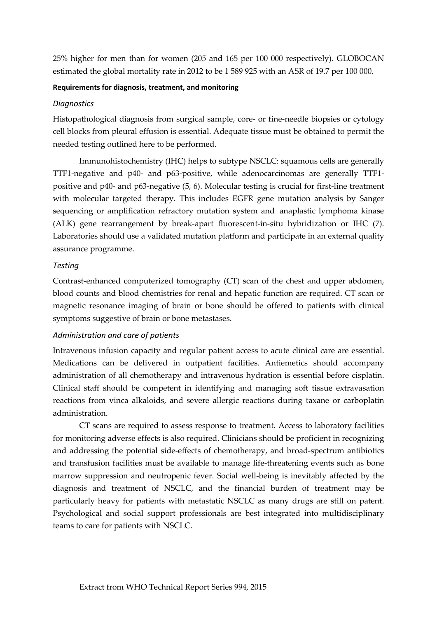25% higher for men than for women (205 and 165 per 100 000 respectively). GLOBOCAN estimated the global mortality rate in 2012 to be 1 589 925 with an ASR of 19.7 per 100 000.

## **Requirements for diagnosis, treatment, and monitoring**

## *Diagnostics*

Histopathological diagnosis from surgical sample, core- or fine-needle biopsies or cytology cell blocks from pleural effusion is essential. Adequate tissue must be obtained to permit the needed testing outlined here to be performed.

Immunohistochemistry (IHC) helps to subtype NSCLC: squamous cells are generally TTF1-negative and p40- and p63-positive, while adenocarcinomas are generally TTF1 positive and p40- and p63-negative (5, 6). Molecular testing is crucial for first-line treatment with molecular targeted therapy. This includes EGFR gene mutation analysis by Sanger sequencing or amplification refractory mutation system and anaplastic lymphoma kinase (ALK) gene rearrangement by break-apart fluorescent-in-situ hybridization or IHC (7). Laboratories should use a validated mutation platform and participate in an external quality assurance programme.

## *Testing*

Contrast-enhanced computerized tomography (CT) scan of the chest and upper abdomen, blood counts and blood chemistries for renal and hepatic function are required. CT scan or magnetic resonance imaging of brain or bone should be offered to patients with clinical symptoms suggestive of brain or bone metastases.

## *Administration and care of patients*

Intravenous infusion capacity and regular patient access to acute clinical care are essential. Medications can be delivered in outpatient facilities. Antiemetics should accompany administration of all chemotherapy and intravenous hydration is essential before cisplatin. Clinical staff should be competent in identifying and managing soft tissue extravasation reactions from vinca alkaloids, and severe allergic reactions during taxane or carboplatin administration.

CT scans are required to assess response to treatment. Access to laboratory facilities for monitoring adverse effects is also required. Clinicians should be proficient in recognizing and addressing the potential side-effects of chemotherapy, and broad-spectrum antibiotics and transfusion facilities must be available to manage life-threatening events such as bone marrow suppression and neutropenic fever. Social well-being is inevitably affected by the diagnosis and treatment of NSCLC, and the financial burden of treatment may be particularly heavy for patients with metastatic NSCLC as many drugs are still on patent. Psychological and social support professionals are best integrated into multidisciplinary teams to care for patients with NSCLC.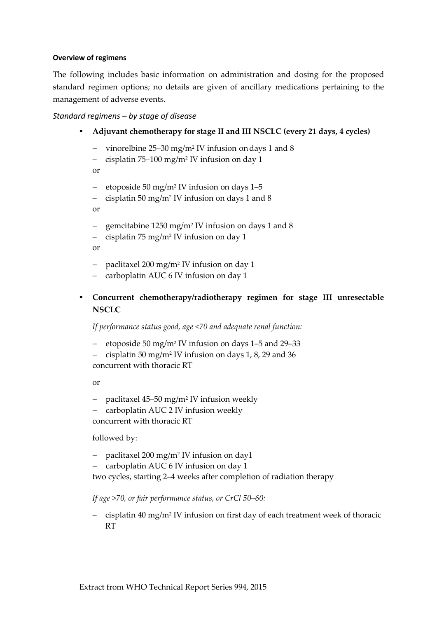## **Overview of regimens**

The following includes basic information on administration and dosing for the proposed standard regimen options; no details are given of ancillary medications pertaining to the management of adverse events.

## *Standard regimens – by stage of disease*

- **Adjuvant chemotherapy for stage II and III NSCLC (every 21 days, 4 cycles)**
	- vinorelbine 25–30 mg/m<sup>2</sup> IV infusion on days 1 and 8
	- cisplatin 75–100 mg/m<sup>2</sup> IV infusion on day 1

or

- etoposide 50 mg/m<sup>2</sup> IV infusion on days 1–5
- cisplatin 50 mg/m<sup>2</sup> IV infusion on days 1 and 8

or

- gemcitabine 1250 mg/m<sup>2</sup> IV infusion on days 1 and 8
- cisplatin 75 mg/m<sup>2</sup> IV infusion on day 1

or

- paclitaxel 200 mg/m<sup>2</sup> IV infusion on day 1
- carboplatin AUC 6 IV infusion on day 1
- **Concurrent chemotherapy/radiotherapy regimen for stage III unresectable NSCLC**

*If performance status good, age <70 and adequate renal function:*

- etoposide 50 mg/m<sup>2</sup> IV infusion on days 1–5 and 29–33
- cisplatin 50 mg/m<sup>2</sup> IV infusion on days 1, 8, 29 and 36 concurrent with thoracic RT

or

- paclitaxel 45–50 mg/m<sup>2</sup> IV infusion weekly
- carboplatin AUC 2 IV infusion weekly

concurrent with thoracic RT

followed by:

- paclitaxel 200 mg/m<sup>2</sup> IV infusion on day1
- carboplatin AUC 6 IV infusion on day 1

two cycles, starting 2–4 weeks after completion of radiation therapy

*If age >70, or fair performance status, or CrCl 50–60:*

- cisplatin 40 mg/m<sup>2</sup> IV infusion on first day of each treatment week of thoracic RT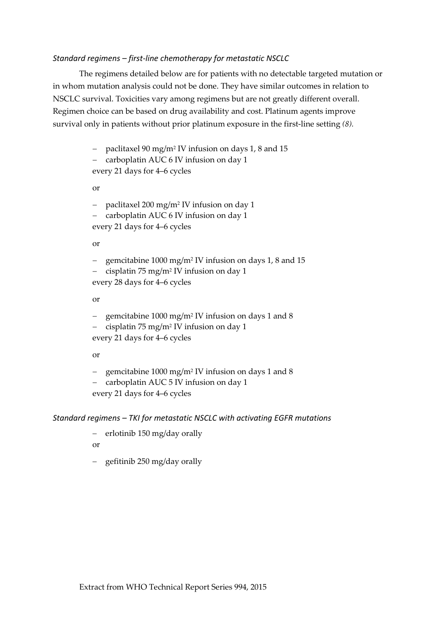## *Standard regimens – first-line chemotherapy for metastatic NSCLC*

The regimens detailed below are for patients with no detectable targeted mutation or in whom mutation analysis could not be done. They have similar outcomes in relation to NSCLC survival. Toxicities vary among regimens but are not greatly different overall. Regimen choice can be based on drug availability and cost. Platinum agents improve survival only in patients without prior platinum exposure in the first-line setting *(8).*

- paclitaxel 90 mg/m<sup>2</sup> IV infusion on days 1, 8 and 15

- carboplatin AUC 6 IV infusion on day 1 every 21 days for 4–6 cycles

or

- paclitaxel 200 mg/m<sup>2</sup> IV infusion on day 1 - carboplatin AUC 6 IV infusion on day 1 every 21 days for 4–6 cycles

or

- gemcitabine 1000 mg/m<sup>2</sup> IV infusion on days 1, 8 and 15

- cisplatin 75 mg/m<sup>2</sup> IV infusion on day 1 every 28 days for 4–6 cycles

or

- gemcitabine 1000 mg/m<sup>2</sup> IV infusion on days 1 and 8

- cisplatin 75 mg/m<sup>2</sup> IV infusion on day 1 every 21 days for 4–6 cycles

or

- gemcitabine 1000 mg/m<sup>2</sup> IV infusion on days 1 and 8

- carboplatin AUC 5 IV infusion on day 1

every 21 days for 4–6 cycles

### *Standard regimens – TKI for metastatic NSCLC with activating EGFR mutations*

 $-$  erlotinib 150 mg/day orally

or

 $-$  gefitinib 250 mg/day orally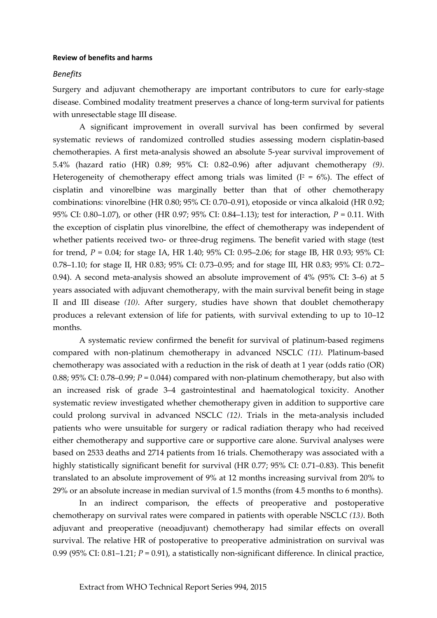#### **Review of benefits and harms**

#### *Benefits*

Surgery and adjuvant chemotherapy are important contributors to cure for early-stage disease. Combined modality treatment preserves a chance of long-term survival for patients with unresectable stage III disease.

A significant improvement in overall survival has been confirmed by several systematic reviews of randomized controlled studies assessing modern cisplatin-based chemotherapies. A first meta-analysis showed an absolute 5-year survival improvement of 5.4% (hazard ratio (HR) 0.89; 95% CI: 0.82–0.96) after adjuvant chemotherapy *(9)*. Heterogeneity of chemotherapy effect among trials was limited ( $I^2 = 6\%$ ). The effect of cisplatin and vinorelbine was marginally better than that of other chemotherapy combinations: vinorelbine (HR 0.80; 95% CI: 0.70–0.91), etoposide or vinca alkaloid (HR 0.92; 95% CI: 0.80–1.07), or other (HR 0.97; 95% CI: 0.84–1.13); test for interaction, *P* = 0.11. With the exception of cisplatin plus vinorelbine, the effect of chemotherapy was independent of whether patients received two- or three-drug regimens. The benefit varied with stage (test for trend, *P* = 0.04; for stage IA, HR 1.40; 95% CI: 0.95–2.06; for stage IB, HR 0.93; 95% CI: 0.78–1.10; for stage II, HR 0.83; 95% CI: 0.73–0.95; and for stage III, HR 0.83; 95% CI: 0.72– 0.94). A second meta-analysis showed an absolute improvement of 4% (95% CI: 3–6) at 5 years associated with adjuvant chemotherapy, with the main survival benefit being in stage II and III disease *(10)*. After surgery, studies have shown that doublet chemotherapy produces a relevant extension of life for patients, with survival extending to up to 10–12 months.

A systematic review confirmed the benefit for survival of platinum-based regimens compared with non-platinum chemotherapy in advanced NSCLC *(11)*. Platinum-based chemotherapy was associated with a reduction in the risk of death at 1 year (odds ratio (OR) 0.88; 95% CI: 0.78–0.99;  $P = 0.044$ ) compared with non-platinum chemotherapy, but also with an increased risk of grade 3–4 gastrointestinal and haematological toxicity. Another systematic review investigated whether chemotherapy given in addition to supportive care could prolong survival in advanced NSCLC *(12)*. Trials in the meta-analysis included patients who were unsuitable for surgery or radical radiation therapy who had received either chemotherapy and supportive care or supportive care alone. Survival analyses were based on 2533 deaths and 2714 patients from 16 trials. Chemotherapy was associated with a highly statistically significant benefit for survival (HR 0.77; 95% CI: 0.71–0.83). This benefit translated to an absolute improvement of 9% at 12 months increasing survival from 20% to 29% or an absolute increase in median survival of 1.5 months (from 4.5 months to 6 months).

In an indirect comparison, the effects of preoperative and postoperative chemotherapy on survival rates were compared in patients with operable NSCLC *(13)*. Both adjuvant and preoperative (neoadjuvant) chemotherapy had similar effects on overall survival. The relative HR of postoperative to preoperative administration on survival was 0.99 (95% CI: 0.81–1.21; *P* = 0.91), a statistically non-significant difference. In clinical practice,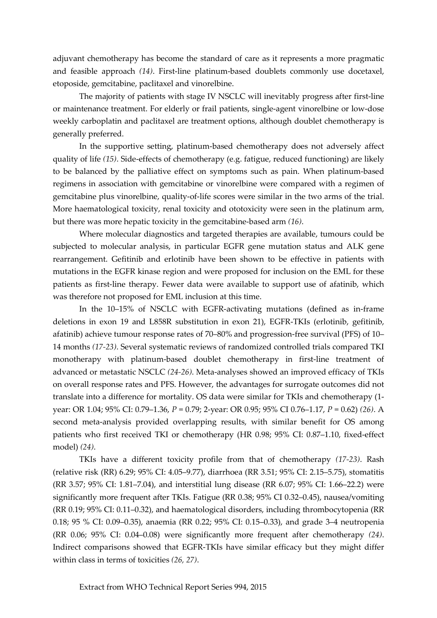adjuvant chemotherapy has become the standard of care as it represents a more pragmatic and feasible approach *(14)*. First-line platinum-based doublets commonly use docetaxel, etoposide, gemcitabine, paclitaxel and vinorelbine.

The majority of patients with stage IV NSCLC will inevitably progress after first-line or maintenance treatment. For elderly or frail patients, single-agent vinorelbine or low-dose weekly carboplatin and paclitaxel are treatment options, although doublet chemotherapy is generally preferred.

In the supportive setting, platinum-based chemotherapy does not adversely affect quality of life *(15)*. Side-effects of chemotherapy (e.g. fatigue, reduced functioning) are likely to be balanced by the palliative effect on symptoms such as pain. When platinum-based regimens in association with gemcitabine or vinorelbine were compared with a regimen of gemcitabine plus vinorelbine, quality-of-life scores were similar in the two arms of the trial. More haematological toxicity, renal toxicity and ototoxicity were seen in the platinum arm, but there was more hepatic toxicity in the gemcitabine-based arm *(16)*.

Where molecular diagnostics and targeted therapies are available, tumours could be subjected to molecular analysis, in particular EGFR gene mutation status and ALK gene rearrangement. Gefitinib and erlotinib have been shown to be effective in patients with mutations in the EGFR kinase region and were proposed for inclusion on the EML for these patients as first-line therapy. Fewer data were available to support use of afatinib, which was therefore not proposed for EML inclusion at this time.

In the 10–15% of NSCLC with EGFR-activating mutations (defined as in-frame deletions in exon 19 and L858R substitution in exon 21), EGFR-TKIs (erlotinib, gefitinib, afatinib) achieve tumour response rates of 70–80% and progression-free survival (PFS) of 10– 14 months *(17-23)*. Several systematic reviews of randomized controlled trials compared TKI monotherapy with platinum-based doublet chemotherapy in first-line treatment of advanced or metastatic NSCLC *(24-26)*. Meta-analyses showed an improved efficacy of TKIs on overall response rates and PFS. However, the advantages for surrogate outcomes did not translate into a difference for mortality. OS data were similar for TKIs and chemotherapy (1 year: OR 1.04; 95% CI: 0.79–1.36, *P* = 0.79; 2-year: OR 0.95; 95% CI 0.76–1.17, *P* = 0.62) *(26)*. A second meta-analysis provided overlapping results, with similar benefit for OS among patients who first received TKI or chemotherapy (HR 0.98; 95% CI: 0.87–1.10, fixed-effect model) *(24)*.

TKIs have a different toxicity profile from that of chemotherapy *(17-23)*. Rash (relative risk (RR) 6.29; 95% CI: 4.05–9.77), diarrhoea (RR 3.51; 95% CI: 2.15–5.75), stomatitis (RR 3.57; 95% CI: 1.81–7.04), and interstitial lung disease (RR 6.07; 95% CI: 1.66–22.2) were significantly more frequent after TKIs. Fatigue (RR 0.38; 95% CI 0.32–0.45), nausea/vomiting (RR 0.19; 95% CI: 0.11–0.32), and haematological disorders, including thrombocytopenia (RR 0.18; 95 % CI: 0.09–0.35), anaemia (RR 0.22; 95% CI: 0.15–0.33), and grade 3–4 neutropenia (RR 0.06; 95% CI: 0.04–0.08) were significantly more frequent after chemotherapy *(24)*. Indirect comparisons showed that EGFR-TKIs have similar efficacy but they might differ within class in terms of toxicities *(26, 27)*.

Extract from WHO Technical Report Series 994, 2015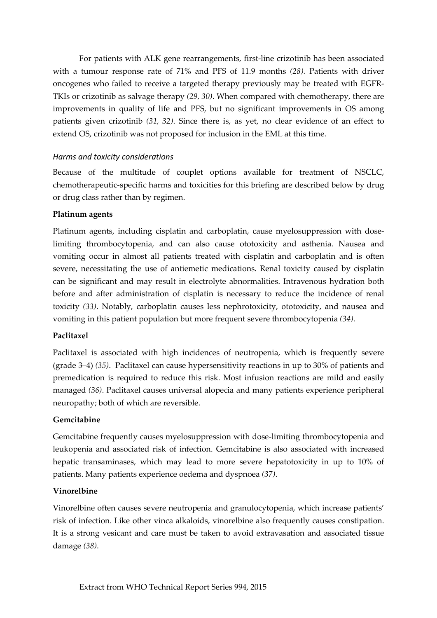For patients with ALK gene rearrangements, first-line crizotinib has been associated with a tumour response rate of 71% and PFS of 11.9 months *(28).* Patients with driver oncogenes who failed to receive a targeted therapy previously may be treated with EGFR-TKIs or crizotinib as salvage therapy *(29, 30)*. When compared with chemotherapy, there are improvements in quality of life and PFS, but no significant improvements in OS among patients given crizotinib *(31, 32)*. Since there is, as yet, no clear evidence of an effect to extend OS, crizotinib was not proposed for inclusion in the EML at this time.

# *Harms and toxicity considerations*

Because of the multitude of couplet options available for treatment of NSCLC, chemotherapeutic-specific harms and toxicities for this briefing are described below by drug or drug class rather than by regimen.

# **Platinum agents**

Platinum agents, including cisplatin and carboplatin, cause myelosuppression with doselimiting thrombocytopenia, and can also cause ototoxicity and asthenia. Nausea and vomiting occur in almost all patients treated with cisplatin and carboplatin and is often severe, necessitating the use of antiemetic medications. Renal toxicity caused by cisplatin can be significant and may result in electrolyte abnormalities. Intravenous hydration both before and after administration of cisplatin is necessary to reduce the incidence of renal toxicity *(33)*. Notably, carboplatin causes less nephrotoxicity, ototoxicity, and nausea and vomiting in this patient population but more frequent severe thrombocytopenia *(34)*.

# **Paclitaxel**

Paclitaxel is associated with high incidences of neutropenia, which is frequently severe (grade 3–4) *(35)*. Paclitaxel can cause hypersensitivity reactions in up to 30% of patients and premedication is required to reduce this risk. Most infusion reactions are mild and easily managed *(36)*. Paclitaxel causes universal alopecia and many patients experience peripheral neuropathy; both of which are reversible.

## **Gemcitabine**

Gemcitabine frequently causes myelosuppression with dose-limiting thrombocytopenia and leukopenia and associated risk of infection. Gemcitabine is also associated with increased hepatic transaminases, which may lead to more severe hepatotoxicity in up to 10% of patients. Many patients experience oedema and dyspnoea *(37)*.

## **Vinorelbine**

Vinorelbine often causes severe neutropenia and granulocytopenia, which increase patients' risk of infection. Like other vinca alkaloids, vinorelbine also frequently causes constipation. It is a strong vesicant and care must be taken to avoid extravasation and associated tissue damage *(38)*.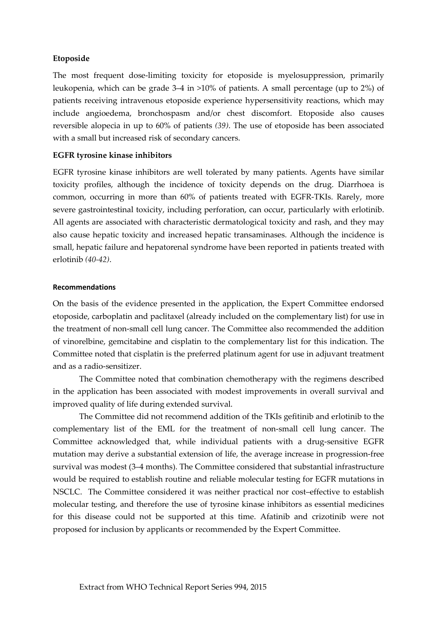## **Etoposide**

The most frequent dose-limiting toxicity for etoposide is myelosuppression, primarily leukopenia, which can be grade 3–4 in >10% of patients. A small percentage (up to 2%) of patients receiving intravenous etoposide experience hypersensitivity reactions, which may include angioedema, bronchospasm and/or chest discomfort. Etoposide also causes reversible alopecia in up to 60% of patients *(39)*. The use of etoposide has been associated with a small but increased risk of secondary cancers.

### **EGFR tyrosine kinase inhibitors**

EGFR tyrosine kinase inhibitors are well tolerated by many patients. Agents have similar toxicity profiles, although the incidence of toxicity depends on the drug. Diarrhoea is common, occurring in more than 60% of patients treated with EGFR-TKIs. Rarely, more severe gastrointestinal toxicity, including perforation, can occur, particularly with erlotinib. All agents are associated with characteristic dermatological toxicity and rash, and they may also cause hepatic toxicity and increased hepatic transaminases. Although the incidence is small, hepatic failure and hepatorenal syndrome have been reported in patients treated with erlotinib *(40-42)*.

### **Recommendations**

On the basis of the evidence presented in the application, the Expert Committee endorsed etoposide, carboplatin and paclitaxel (already included on the complementary list) for use in the treatment of non-small cell lung cancer. The Committee also recommended the addition of vinorelbine, gemcitabine and cisplatin to the complementary list for this indication. The Committee noted that cisplatin is the preferred platinum agent for use in adjuvant treatment and as a radio-sensitizer.

The Committee noted that combination chemotherapy with the regimens described in the application has been associated with modest improvements in overall survival and improved quality of life during extended survival.

The Committee did not recommend addition of the TKIs gefitinib and erlotinib to the complementary list of the EML for the treatment of non-small cell lung cancer. The Committee acknowledged that, while individual patients with a drug-sensitive EGFR mutation may derive a substantial extension of life, the average increase in progression-free survival was modest (3–4 months). The Committee considered that substantial infrastructure would be required to establish routine and reliable molecular testing for EGFR mutations in NSCLC. The Committee considered it was neither practical nor cost–effective to establish molecular testing, and therefore the use of tyrosine kinase inhibitors as essential medicines for this disease could not be supported at this time. Afatinib and crizotinib were not proposed for inclusion by applicants or recommended by the Expert Committee.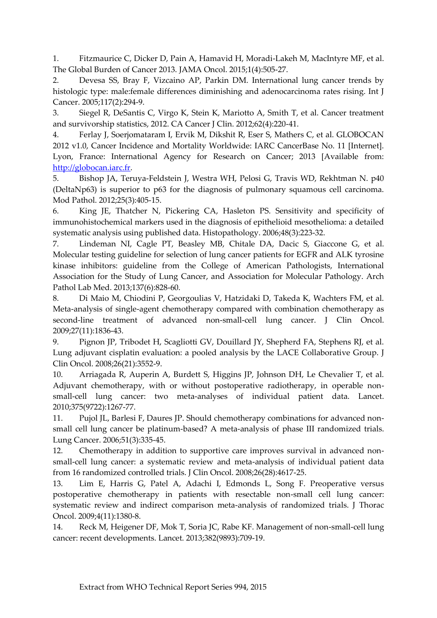1. Fitzmaurice C, Dicker D, Pain A, Hamavid H, Moradi-Lakeh M, MacIntyre MF, et al. The Global Burden of Cancer 2013. JAMA Oncol. 2015;1(4):505-27.

2. Devesa SS, Bray F, Vizcaino AP, Parkin DM. International lung cancer trends by histologic type: male:female differences diminishing and adenocarcinoma rates rising. Int J Cancer. 2005;117(2):294-9.

3. Siegel R, DeSantis C, Virgo K, Stein K, Mariotto A, Smith T, et al. Cancer treatment and survivorship statistics, 2012. CA Cancer J Clin. 2012;62(4):220-41.

4. Ferlay J, Soerjomataram I, Ervik M, Dikshit R, Eser S, Mathers C, et al. GLOBOCAN 2012 v1.0, Cancer Incidence and Mortality Worldwide: IARC CancerBase No. 11 [Internet]. Lyon, France: International Agency for Research on Cancer; 2013 [Available from: [http://globocan.iarc.fr.](http://globocan.iarc.fr/)

5. Bishop JA, Teruya-Feldstein J, Westra WH, Pelosi G, Travis WD, Rekhtman N. p40 (DeltaNp63) is superior to p63 for the diagnosis of pulmonary squamous cell carcinoma. Mod Pathol. 2012;25(3):405-15.

6. King JE, Thatcher N, Pickering CA, Hasleton PS. Sensitivity and specificity of immunohistochemical markers used in the diagnosis of epithelioid mesothelioma: a detailed systematic analysis using published data. Histopathology. 2006;48(3):223-32.

7. Lindeman NI, Cagle PT, Beasley MB, Chitale DA, Dacic S, Giaccone G, et al. Molecular testing guideline for selection of lung cancer patients for EGFR and ALK tyrosine kinase inhibitors: guideline from the College of American Pathologists, International Association for the Study of Lung Cancer, and Association for Molecular Pathology. Arch Pathol Lab Med. 2013;137(6):828-60.

8. Di Maio M, Chiodini P, Georgoulias V, Hatzidaki D, Takeda K, Wachters FM, et al. Meta-analysis of single-agent chemotherapy compared with combination chemotherapy as second-line treatment of advanced non-small-cell lung cancer. J Clin Oncol. 2009;27(11):1836-43.

9. Pignon JP, Tribodet H, Scagliotti GV, Douillard JY, Shepherd FA, Stephens RJ, et al. Lung adjuvant cisplatin evaluation: a pooled analysis by the LACE Collaborative Group. J Clin Oncol. 2008;26(21):3552-9.

10. Arriagada R, Auperin A, Burdett S, Higgins JP, Johnson DH, Le Chevalier T, et al. Adjuvant chemotherapy, with or without postoperative radiotherapy, in operable nonsmall-cell lung cancer: two meta-analyses of individual patient data. Lancet. 2010;375(9722):1267-77.

11. Pujol JL, Barlesi F, Daures JP. Should chemotherapy combinations for advanced nonsmall cell lung cancer be platinum-based? A meta-analysis of phase III randomized trials. Lung Cancer. 2006;51(3):335-45.

12. Chemotherapy in addition to supportive care improves survival in advanced nonsmall-cell lung cancer: a systematic review and meta-analysis of individual patient data from 16 randomized controlled trials. J Clin Oncol. 2008;26(28):4617-25.

13. Lim E, Harris G, Patel A, Adachi I, Edmonds L, Song F. Preoperative versus postoperative chemotherapy in patients with resectable non-small cell lung cancer: systematic review and indirect comparison meta-analysis of randomized trials. J Thorac Oncol. 2009;4(11):1380-8.

14. Reck M, Heigener DF, Mok T, Soria JC, Rabe KF. Management of non-small-cell lung cancer: recent developments. Lancet. 2013;382(9893):709-19.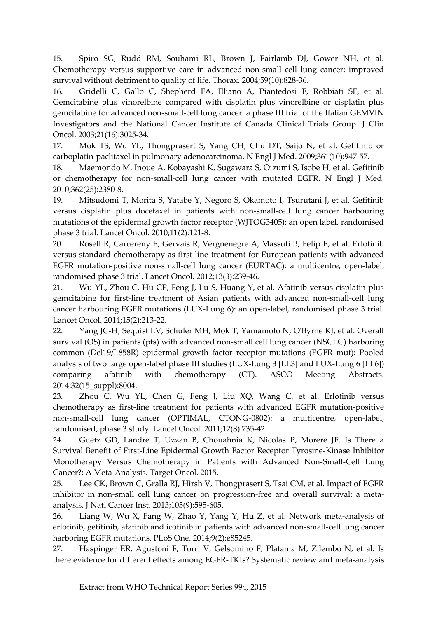15. Spiro SG, Rudd RM, Souhami RL, Brown J, Fairlamb DJ, Gower NH, et al. Chemotherapy versus supportive care in advanced non-small cell lung cancer: improved survival without detriment to quality of life. Thorax. 2004;59(10):828-36.

16. Gridelli C, Gallo C, Shepherd FA, Illiano A, Piantedosi F, Robbiati SF, et al. Gemcitabine plus vinorelbine compared with cisplatin plus vinorelbine or cisplatin plus gemcitabine for advanced non-small-cell lung cancer: a phase III trial of the Italian GEMVIN Investigators and the National Cancer Institute of Canada Clinical Trials Group. J Clin Oncol. 2003;21(16):3025-34.

17. Mok TS, Wu YL, Thongprasert S, Yang CH, Chu DT, Saijo N, et al. Gefitinib or carboplatin-paclitaxel in pulmonary adenocarcinoma. N Engl J Med. 2009;361(10):947-57.

18. Maemondo M, Inoue A, Kobayashi K, Sugawara S, Oizumi S, Isobe H, et al. Gefitinib or chemotherapy for non-small-cell lung cancer with mutated EGFR. N Engl J Med. 2010;362(25):2380-8.

19. Mitsudomi T, Morita S, Yatabe Y, Negoro S, Okamoto I, Tsurutani J, et al. Gefitinib versus cisplatin plus docetaxel in patients with non-small-cell lung cancer harbouring mutations of the epidermal growth factor receptor (WJTOG3405): an open label, randomised phase 3 trial. Lancet Oncol. 2010;11(2):121-8.

20. Rosell R, Carcereny E, Gervais R, Vergnenegre A, Massuti B, Felip E, et al. Erlotinib versus standard chemotherapy as first-line treatment for European patients with advanced EGFR mutation-positive non-small-cell lung cancer (EURTAC): a multicentre, open-label, randomised phase 3 trial. Lancet Oncol. 2012;13(3):239-46.

21. Wu YL, Zhou C, Hu CP, Feng J, Lu S, Huang Y, et al. Afatinib versus cisplatin plus gemcitabine for first-line treatment of Asian patients with advanced non-small-cell lung cancer harbouring EGFR mutations (LUX-Lung 6): an open-label, randomised phase 3 trial. Lancet Oncol. 2014;15(2):213-22.

22. Yang JC-H, Sequist LV, Schuler MH, Mok T, Yamamoto N, O'Byrne KJ, et al. Overall survival (OS) in patients (pts) with advanced non-small cell lung cancer (NSCLC) harboring common (Del19/L858R) epidermal growth factor receptor mutations (EGFR mut): Pooled analysis of two large open-label phase III studies (LUX-Lung 3 [LL3] and LUX-Lung 6 [LL6]) comparing afatinib with chemotherapy (CT). ASCO Meeting Abstracts. 2014;32(15\_suppl):8004.

23. Zhou C, Wu YL, Chen G, Feng J, Liu XQ, Wang C, et al. Erlotinib versus chemotherapy as first-line treatment for patients with advanced EGFR mutation-positive non-small-cell lung cancer (OPTIMAL, CTONG-0802): a multicentre, open-label, randomised, phase 3 study. Lancet Oncol. 2011;12(8):735-42.

24. Guetz GD, Landre T, Uzzan B, Chouahnia K, Nicolas P, Morere JF. Is There a Survival Benefit of First-Line Epidermal Growth Factor Receptor Tyrosine-Kinase Inhibitor Monotherapy Versus Chemotherapy in Patients with Advanced Non-Small-Cell Lung Cancer?: A Meta-Analysis. Target Oncol. 2015.

25. Lee CK, Brown C, Gralla RJ, Hirsh V, Thongprasert S, Tsai CM, et al. Impact of EGFR inhibitor in non-small cell lung cancer on progression-free and overall survival: a metaanalysis. J Natl Cancer Inst. 2013;105(9):595-605.

26. Liang W, Wu X, Fang W, Zhao Y, Yang Y, Hu Z, et al. Network meta-analysis of erlotinib, gefitinib, afatinib and icotinib in patients with advanced non-small-cell lung cancer harboring EGFR mutations. PLoS One. 2014;9(2):e85245.

27. Haspinger ER, Agustoni F, Torri V, Gelsomino F, Platania M, Zilembo N, et al. Is there evidence for different effects among EGFR-TKIs? Systematic review and meta-analysis